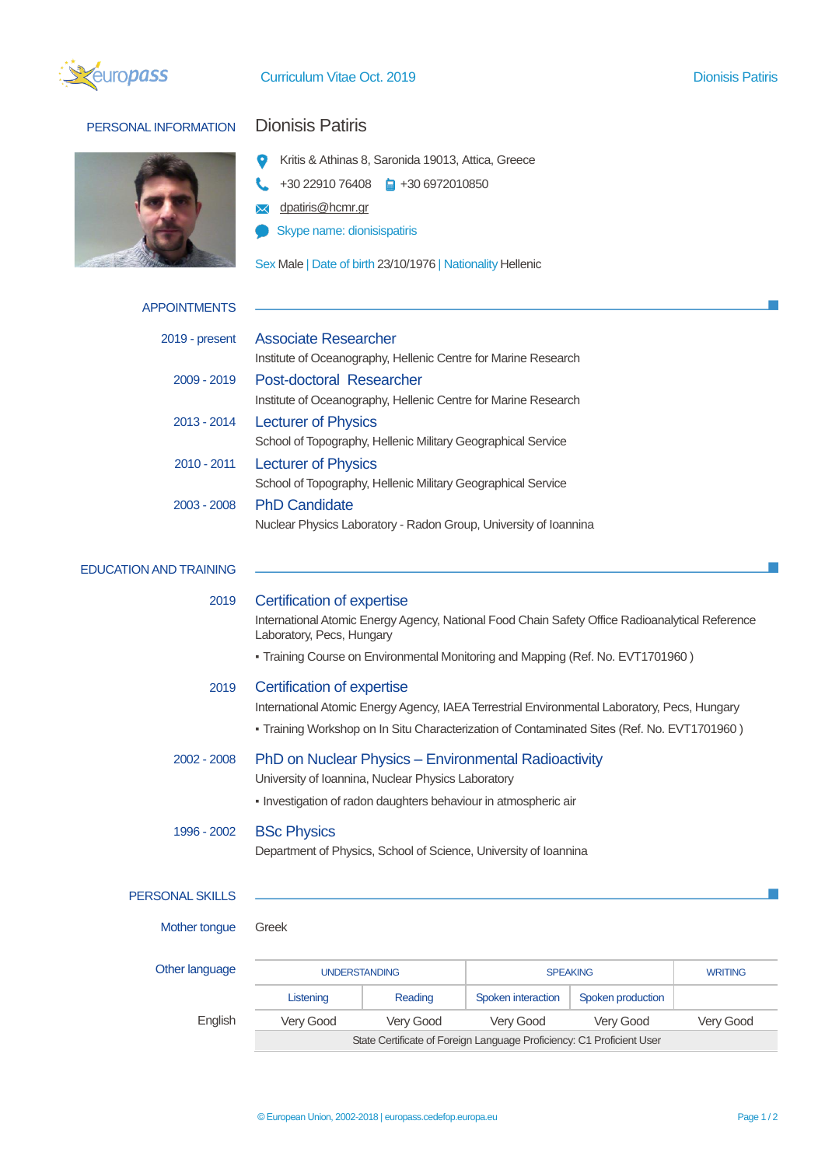

## PERSONAL INFORMATION Dionisis Patiris



- Kritis & Athinas 8, Saronida 19013, Attica, Greece
- $\leftarrow$  +30 22910 76408  $\leftarrow$  +30 6972010850
- **X** dpatiris@hcmr.gr
- Skype name: dionisispatiris

Sex Male | Date of birth 23/10/1976 | Nationality Hellenic

| <b>APPOINTMENTS</b>           |                                                                                                                                                                                                                                               |           |                    |                   |                |  |
|-------------------------------|-----------------------------------------------------------------------------------------------------------------------------------------------------------------------------------------------------------------------------------------------|-----------|--------------------|-------------------|----------------|--|
| 2019 - present                | <b>Associate Researcher</b><br>Institute of Oceanography, Hellenic Centre for Marine Research                                                                                                                                                 |           |                    |                   |                |  |
| 2009 - 2019                   | Post-doctoral Researcher<br>Institute of Oceanography, Hellenic Centre for Marine Research                                                                                                                                                    |           |                    |                   |                |  |
| $2013 - 2014$                 | <b>Lecturer of Physics</b><br>School of Topography, Hellenic Military Geographical Service                                                                                                                                                    |           |                    |                   |                |  |
| 2010 - 2011                   | <b>Lecturer of Physics</b><br>School of Topography, Hellenic Military Geographical Service                                                                                                                                                    |           |                    |                   |                |  |
| 2003 - 2008                   | <b>PhD Candidate</b><br>Nuclear Physics Laboratory - Radon Group, University of Ioannina                                                                                                                                                      |           |                    |                   |                |  |
| <b>EDUCATION AND TRAINING</b> |                                                                                                                                                                                                                                               |           |                    |                   |                |  |
| 2019                          | Certification of expertise<br>International Atomic Energy Agency, National Food Chain Safety Office Radioanalytical Reference<br>Laboratory, Pecs, Hungary<br>- Training Course on Environmental Monitoring and Mapping (Ref. No. EVT1701960) |           |                    |                   |                |  |
| 2019                          | Certification of expertise<br>International Atomic Energy Agency, IAEA Terrestrial Environmental Laboratory, Pecs, Hungary<br>- Training Workshop on In Situ Characterization of Contaminated Sites (Ref. No. EVT1701960)                     |           |                    |                   |                |  |
| 2002 - 2008                   | PhD on Nuclear Physics - Environmental Radioactivity<br>University of Ioannina, Nuclear Physics Laboratory<br>- Investigation of radon daughters behaviour in atmospheric air                                                                 |           |                    |                   |                |  |
| 1996 - 2002                   | <b>BSc Physics</b><br>Department of Physics, School of Science, University of Ioannina                                                                                                                                                        |           |                    |                   |                |  |
| <b>PERSONAL SKILLS</b>        |                                                                                                                                                                                                                                               |           |                    |                   |                |  |
| Mother tongue                 | Greek                                                                                                                                                                                                                                         |           |                    |                   |                |  |
| Other language                | <b>UNDERSTANDING</b>                                                                                                                                                                                                                          |           | <b>SPEAKING</b>    |                   | <b>WRITING</b> |  |
|                               | Listening                                                                                                                                                                                                                                     | Reading   | Spoken interaction | Spoken production |                |  |
| English                       | Very Good                                                                                                                                                                                                                                     | Very Good | Very Good          | Very Good         | Very Good      |  |

State Certificate of Foreign Language Proficiency: C1 Proficient User